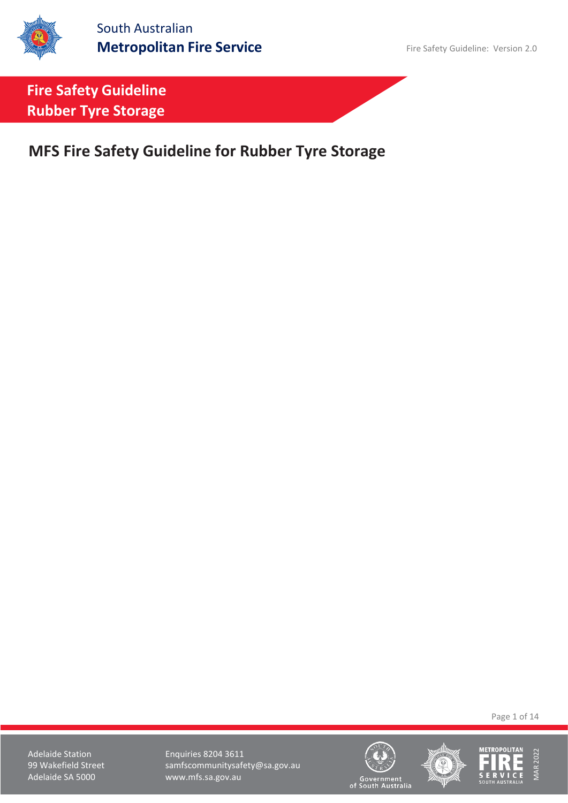

**MFS Fire Safety Guideline for Rubber Tyre Storage**

Page 1 of 14

Adelaide Station **Enquiries 8204 3611** 99 Wakefield Street samfscommunitysafety@sa.gov.au<br>Adelaide SA 5000 www.mfs.sa.gov.au www.mfs.sa.gov.au





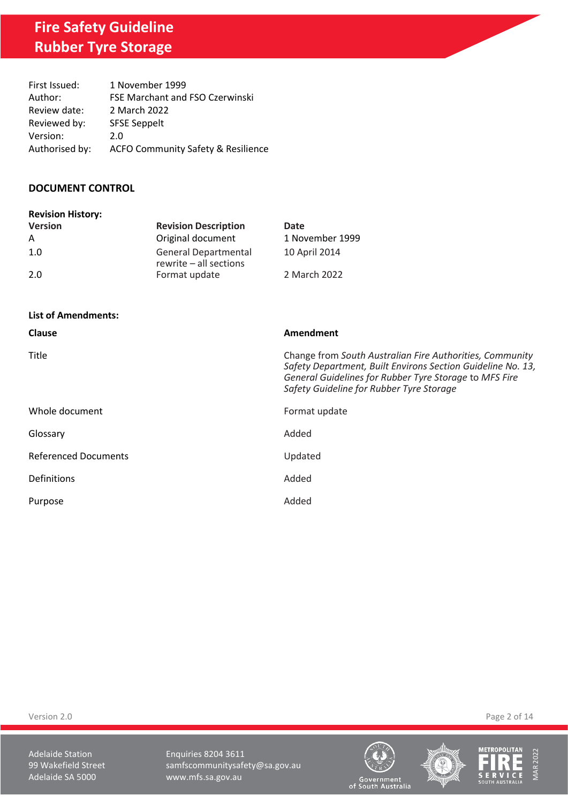| First Issued:  | 1 November 1999                               |
|----------------|-----------------------------------------------|
| Author:        | FSE Marchant and FSO Czerwinski               |
| Review date:   | 2 March 2022                                  |
| Reviewed by:   | <b>SFSE Seppelt</b>                           |
| Version:       | 2.0                                           |
| Authorised by: | <b>ACFO Community Safety &amp; Resilience</b> |

#### **DOCUMENT CONTROL**

| <b>Revision History:</b> |                                                       |                 |
|--------------------------|-------------------------------------------------------|-----------------|
| <b>Version</b>           | <b>Revision Description</b>                           | Date            |
| A                        | Original document                                     | 1 November 1999 |
| 1.0                      | <b>General Departmental</b><br>rewrite - all sections | 10 April 2014   |
| 2.0                      | Format update                                         | 2 March 2022    |

| <b>List of Amendments:</b>  |                                                                                                                                                                                                                               |
|-----------------------------|-------------------------------------------------------------------------------------------------------------------------------------------------------------------------------------------------------------------------------|
| <b>Clause</b>               | Amendment                                                                                                                                                                                                                     |
| Title                       | Change from South Australian Fire Authorities, Community<br>Safety Department, Built Environs Section Guideline No. 13,<br>General Guidelines for Rubber Tyre Storage to MFS Fire<br>Safety Guideline for Rubber Tyre Storage |
| Whole document              | Format update                                                                                                                                                                                                                 |
| Glossary                    | Added                                                                                                                                                                                                                         |
| <b>Referenced Documents</b> | Updated                                                                                                                                                                                                                       |
| Definitions                 | Added                                                                                                                                                                                                                         |
| Purpose                     | Added                                                                                                                                                                                                                         |

Version 2.0 Page 2 of 14

Adelaide Station **Enquiries 8204 3611** 99 Wakefield Street samfscommunitysafety@sa.gov.au<br>Adelaide SA 5000 www.mfs.sa.gov.au www.mfs.sa.gov.au





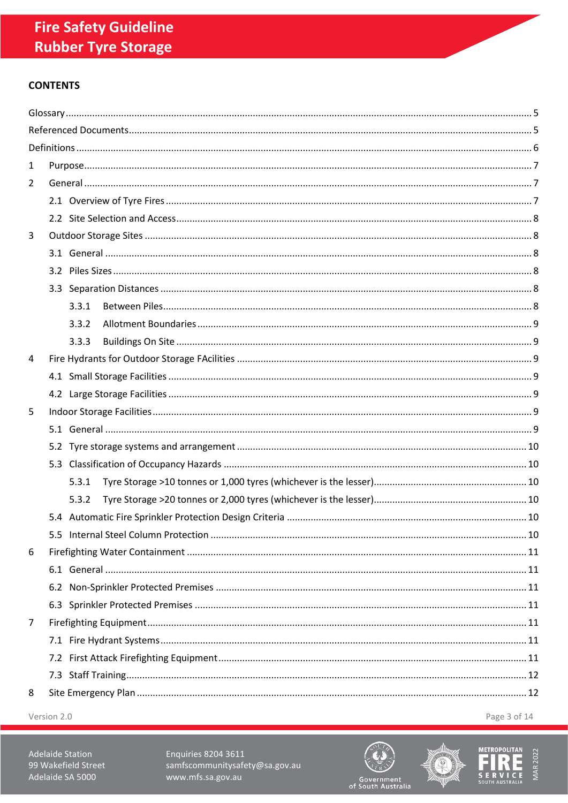## **CONTENTS**

| 1 |  |       |  |     |
|---|--|-------|--|-----|
| 2 |  |       |  |     |
|   |  |       |  |     |
|   |  |       |  |     |
| 3 |  |       |  |     |
|   |  |       |  |     |
|   |  |       |  |     |
|   |  |       |  |     |
|   |  | 3.3.1 |  |     |
|   |  | 3.3.2 |  |     |
|   |  | 3.3.3 |  |     |
| 4 |  |       |  |     |
|   |  |       |  |     |
|   |  |       |  |     |
| 5 |  |       |  |     |
|   |  |       |  |     |
|   |  |       |  |     |
|   |  |       |  |     |
|   |  | 5.3.1 |  |     |
|   |  | 5.3.2 |  |     |
|   |  |       |  |     |
|   |  |       |  | .10 |
| 6 |  |       |  |     |
|   |  |       |  |     |
|   |  |       |  |     |
|   |  |       |  |     |
| 7 |  |       |  |     |
|   |  |       |  |     |
|   |  |       |  |     |
|   |  |       |  |     |
| 8 |  |       |  |     |
|   |  |       |  |     |

Version 2.0

Page 3 of 14

Adelaide Station 99 Wakefield Street Adelaide SA 5000

Enquiries 8204 3611 samfscommunitysafety@sa.gov.au www.mfs.sa.gov.au





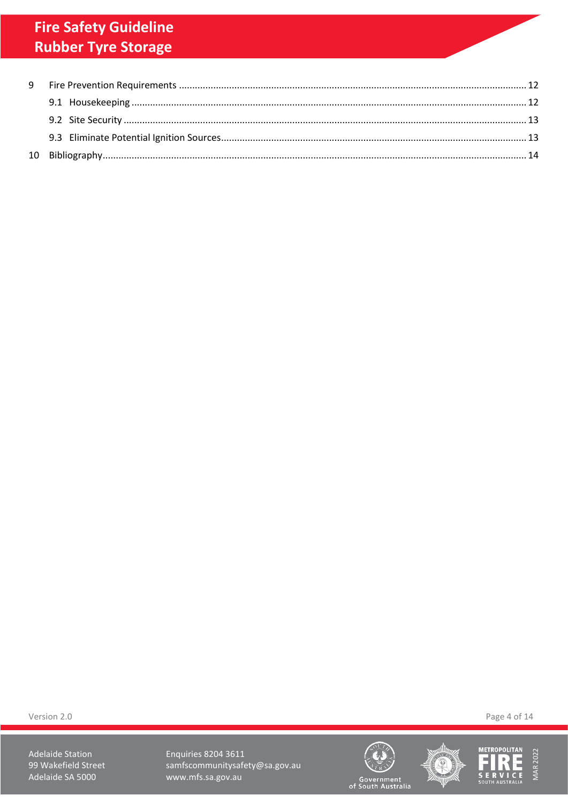Version 2.0

Adelaide Station 99 Wakefield Street Adelaide SA 5000

Enquiries 8204 3611 samfscommunitysafety@sa.gov.au www.mfs.sa.gov.au







Page 4 of 14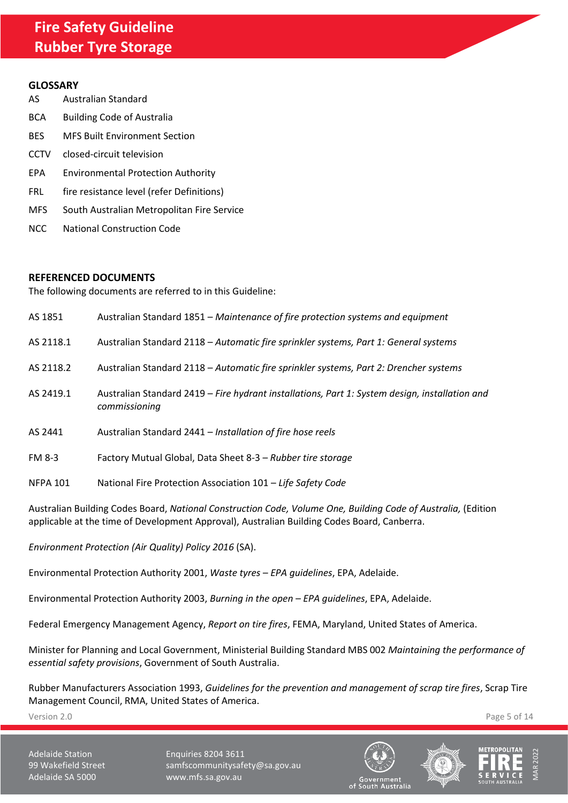#### <span id="page-4-0"></span>**GLOSSARY**

| AS          | Australian Standard                        |
|-------------|--------------------------------------------|
| <b>BCA</b>  | <b>Building Code of Australia</b>          |
| BES         | <b>MFS Built Environment Section</b>       |
| <b>CCTV</b> | closed-circuit television                  |
| EPA         | <b>Environmental Protection Authority</b>  |
| FRL.        | fire resistance level (refer Definitions)  |
| MFS.        | South Australian Metropolitan Fire Service |
|             |                                            |

NCC National Construction Code

#### <span id="page-4-1"></span>**REFERENCED DOCUMENTS**

The following documents are referred to in this Guideline:

| AS 1851         | Australian Standard 1851 – Maintenance of fire protection systems and equipment                                 |
|-----------------|-----------------------------------------------------------------------------------------------------------------|
| AS 2118.1       | Australian Standard 2118 - Automatic fire sprinkler systems, Part 1: General systems                            |
| AS 2118.2       | Australian Standard 2118 - Automatic fire sprinkler systems, Part 2: Drencher systems                           |
| AS 2419.1       | Australian Standard 2419 - Fire hydrant installations, Part 1: System design, installation and<br>commissioning |
| AS 2441         | Australian Standard 2441 - Installation of fire hose reels                                                      |
| <b>FM 8-3</b>   | Factory Mutual Global, Data Sheet 8-3 - Rubber tire storage                                                     |
| <b>NFPA 101</b> | National Fire Protection Association 101 - Life Safety Code                                                     |

Australian Building Codes Board, *National Construction Code, Volume One, Building Code of Australia,* (Edition applicable at the time of Development Approval), Australian Building Codes Board, Canberra.

*Environment Protection (Air Quality) Policy 2016* (SA).

Environmental Protection Authority 2001, *Waste tyres – EPA guidelines*, EPA, Adelaide.

Environmental Protection Authority 2003, *Burning in the open – EPA guidelines*, EPA, Adelaide.

Federal Emergency Management Agency, *Report on tire fires*, FEMA, Maryland, United States of America.

Minister for Planning and Local Government, Ministerial Building Standard MBS 002 *Maintaining the performance of essential safety provisions*, Government of South Australia.

Rubber Manufacturers Association 1993, *Guidelines for the prevention and management of scrap tire fires*, Scrap Tire Management Council, RMA, United States of America.

Version 2.0 Page 5 of 14

Adelaide Station **Enquiries 8204 3611** 99 Wakefield Street samfscommunitysafety@sa.gov.au Adelaide SA 5000 www.mfs.sa.gov.au





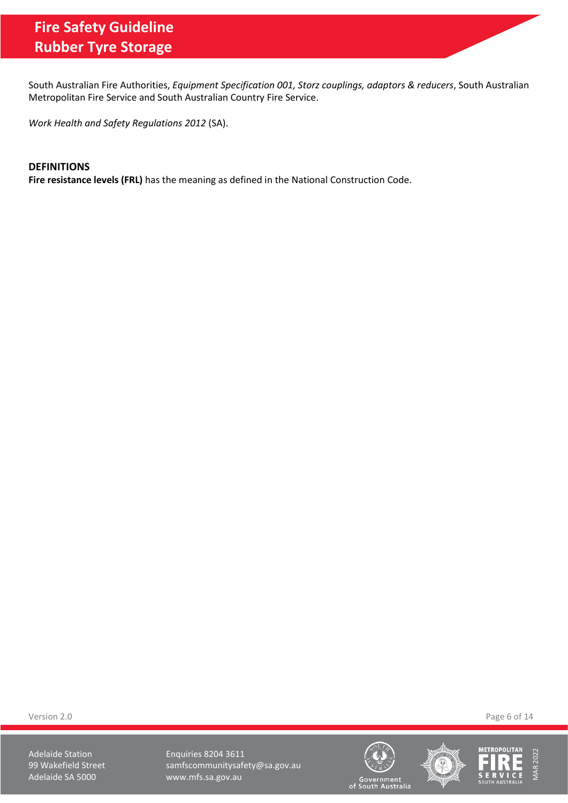South Australian Fire Authorities, *Equipment Specification 001, Storz couplings, adaptors & reducers*, South Australian Metropolitan Fire Service and South Australian Country Fire Service.

*Work Health and Safety Regulations 2012* (SA).

#### <span id="page-5-0"></span>**DEFINITIONS**

**Fire resistance levels (FRL)** has the meaning as defined in the National Construction Code.

Version 2.0 Page 6 of 14

Adelaide Station **Enquiries 8204 3611** 99 Wakefield Street samfscommunitysafety@sa.gov.au<br>Adelaide SA 5000 www.mfs.sa.gov.au www.mfs.sa.gov.au





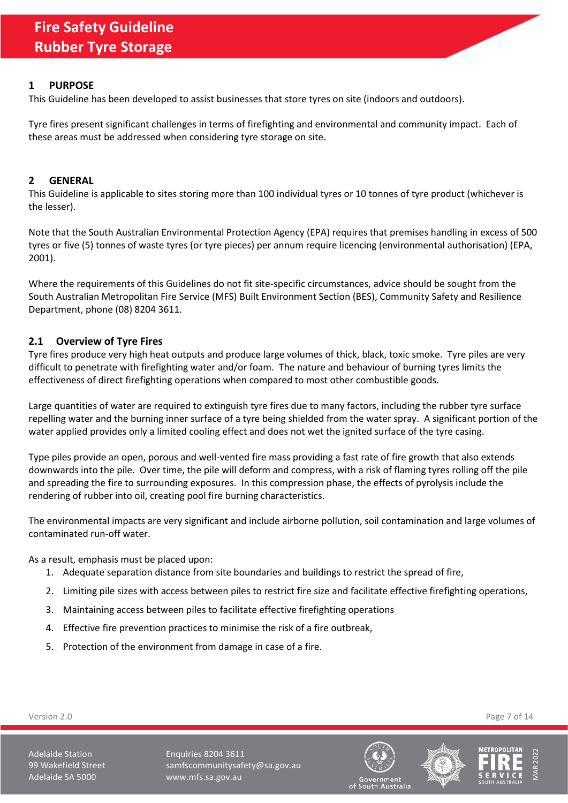#### <span id="page-6-0"></span>**1 PURPOSE**

This Guideline has been developed to assist businesses that store tyres on site (indoors and outdoors).

Tyre fires present significant challenges in terms of firefighting and environmental and community impact. Each of these areas must be addressed when considering tyre storage on site.

#### <span id="page-6-1"></span>**2 GENERAL**

This Guideline is applicable to sites storing more than 100 individual tyres or 10 tonnes of tyre product (whichever is the lesser).

Note that the South Australian Environmental Protection Agency (EPA) requires that premises handling in excess of 500 tyres or five (5) tonnes of waste tyres (or tyre pieces) per annum require licencing (environmental authorisation) (EPA, 2001).

Where the requirements of this Guidelines do not fit site-specific circumstances, advice should be sought from the South Australian Metropolitan Fire Service (MFS) Built Environment Section (BES), Community Safety and Resilience Department, phone (08) 8204 3611.

## <span id="page-6-2"></span>**2.1 Overview of Tyre Fires**

Tyre fires produce very high heat outputs and produce large volumes of thick, black, toxic smoke. Tyre piles are very difficult to penetrate with firefighting water and/or foam. The nature and behaviour of burning tyres limits the effectiveness of direct firefighting operations when compared to most other combustible goods.

Large quantities of water are required to extinguish tyre fires due to many factors, including the rubber tyre surface repelling water and the burning inner surface of a tyre being shielded from the water spray. A significant portion of the water applied provides only a limited cooling effect and does not wet the ignited surface of the tyre casing.

Type piles provide an open, porous and well-vented fire mass providing a fast rate of fire growth that also extends downwards into the pile. Over time, the pile will deform and compress, with a risk of flaming tyres rolling off the pile and spreading the fire to surrounding exposures. In this compression phase, the effects of pyrolysis include the rendering of rubber into oil, creating pool fire burning characteristics.

The environmental impacts are very significant and include airborne pollution, soil contamination and large volumes of contaminated run-off water.

As a result, emphasis must be placed upon:

- 1. Adequate separation distance from site boundaries and buildings to restrict the spread of fire,
- 2. Limiting pile sizes with access between piles to restrict fire size and facilitate effective firefighting operations,
- 3. Maintaining access between piles to facilitate effective firefighting operations
- 4. Effective fire prevention practices to minimise the risk of a fire outbreak,
- 5. Protection of the environment from damage in case of a fire.



MAR 2022

Version 2.0 Page 7 of 14

Adelaide Station **Enquiries 8204 3611** 99 Wakefield Street samfscommunitysafety@sa.gov.au Adelaide SA 5000 www.mfs.sa.gov.au

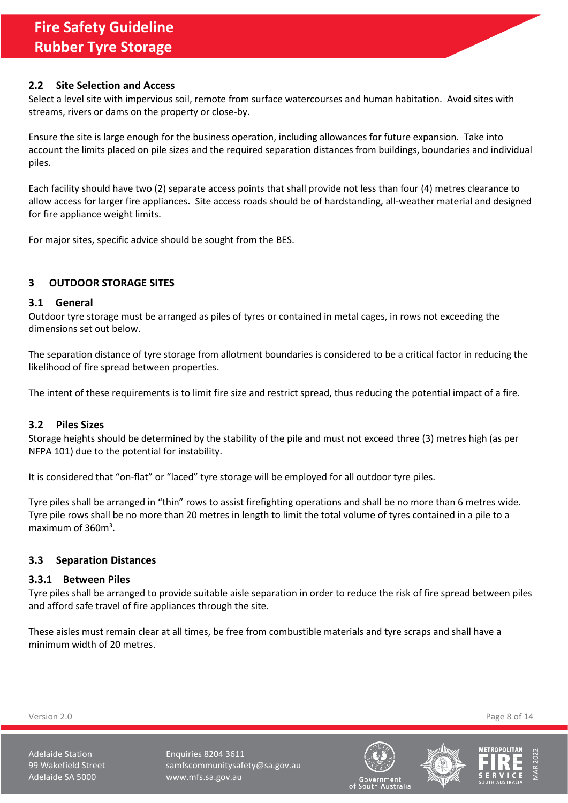#### <span id="page-7-0"></span>**2.2 Site Selection and Access**

Select a level site with impervious soil, remote from surface watercourses and human habitation. Avoid sites with streams, rivers or dams on the property or close-by.

Ensure the site is large enough for the business operation, including allowances for future expansion. Take into account the limits placed on pile sizes and the required separation distances from buildings, boundaries and individual piles.

Each facility should have two (2) separate access points that shall provide not less than four (4) metres clearance to allow access for larger fire appliances. Site access roads should be of hardstanding, all-weather material and designed for fire appliance weight limits.

For major sites, specific advice should be sought from the BES.

## <span id="page-7-1"></span>**3 OUTDOOR STORAGE SITES**

#### <span id="page-7-2"></span>**3.1 General**

Outdoor tyre storage must be arranged as piles of tyres or contained in metal cages, in rows not exceeding the dimensions set out below.

The separation distance of tyre storage from allotment boundaries is considered to be a critical factor in reducing the likelihood of fire spread between properties.

The intent of these requirements is to limit fire size and restrict spread, thus reducing the potential impact of a fire.

## <span id="page-7-3"></span>**3.2 Piles Sizes**

Storage heights should be determined by the stability of the pile and must not exceed three (3) metres high (as per NFPA 101) due to the potential for instability.

It is considered that "on-flat" or "laced" tyre storage will be employed for all outdoor tyre piles.

Tyre piles shall be arranged in "thin" rows to assist firefighting operations and shall be no more than 6 metres wide. Tyre pile rows shall be no more than 20 metres in length to limit the total volume of tyres contained in a pile to a maximum of 360m<sup>3</sup>.

## <span id="page-7-4"></span>**3.3 Separation Distances**

#### <span id="page-7-5"></span>**3.3.1 Between Piles**

Tyre piles shall be arranged to provide suitable aisle separation in order to reduce the risk of fire spread between piles and afford safe travel of fire appliances through the site.

These aisles must remain clear at all times, be free from combustible materials and tyre scraps and shall have a minimum width of 20 metres.

Version 2.0 Page 8 of 14

Adelaide Station **Enquiries 8204 3611** 99 Wakefield Street samfscommunitysafety@sa.gov.au Adelaide SA 5000 www.mfs.sa.gov.au





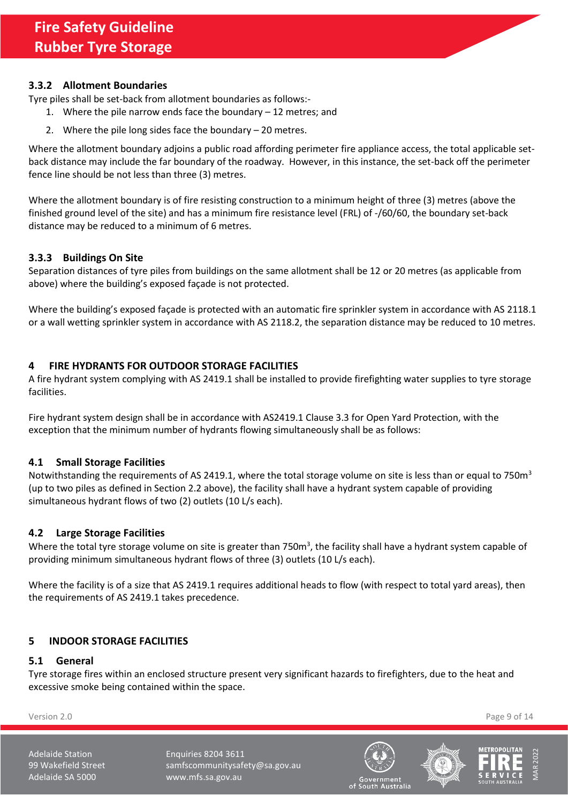## <span id="page-8-0"></span>**3.3.2 Allotment Boundaries**

Tyre piles shall be set-back from allotment boundaries as follows:-

- 1. Where the pile narrow ends face the boundary 12 metres; and
- 2. Where the pile long sides face the boundary 20 metres.

Where the allotment boundary adjoins a public road affording perimeter fire appliance access, the total applicable setback distance may include the far boundary of the roadway. However, in this instance, the set-back off the perimeter fence line should be not less than three (3) metres.

Where the allotment boundary is of fire resisting construction to a minimum height of three (3) metres (above the finished ground level of the site) and has a minimum fire resistance level (FRL) of -/60/60, the boundary set-back distance may be reduced to a minimum of 6 metres.

## <span id="page-8-1"></span>**3.3.3 Buildings On Site**

Separation distances of tyre piles from buildings on the same allotment shall be 12 or 20 metres (as applicable from above) where the building's exposed façade is not protected.

Where the building's exposed façade is protected with an automatic fire sprinkler system in accordance with AS 2118.1 or a wall wetting sprinkler system in accordance with AS 2118.2, the separation distance may be reduced to 10 metres.

## <span id="page-8-2"></span>**4 FIRE HYDRANTS FOR OUTDOOR STORAGE FACILITIES**

A fire hydrant system complying with AS 2419.1 shall be installed to provide firefighting water supplies to tyre storage facilities.

Fire hydrant system design shall be in accordance with AS2419.1 Clause 3.3 for Open Yard Protection, with the exception that the minimum number of hydrants flowing simultaneously shall be as follows:

## <span id="page-8-3"></span>**4.1 Small Storage Facilities**

Notwithstanding the requirements of AS 2419.1, where the total storage volume on site is less than or equal to 750 $m<sup>3</sup>$ (up to two piles as defined in Section [2.2](#page-7-0) above), the facility shall have a hydrant system capable of providing simultaneous hydrant flows of two (2) outlets (10 L/s each).

## <span id="page-8-4"></span>**4.2 Large Storage Facilities**

Where the total tyre storage volume on site is greater than 750m<sup>3</sup>, the facility shall have a hydrant system capable of providing minimum simultaneous hydrant flows of three (3) outlets (10 L/s each).

Where the facility is of a size that AS 2419.1 requires additional heads to flow (with respect to total yard areas), then the requirements of AS 2419.1 takes precedence.

## <span id="page-8-5"></span>**5 INDOOR STORAGE FACILITIES**

## <span id="page-8-6"></span>**5.1 General**

Tyre storage fires within an enclosed structure present very significant hazards to firefighters, due to the heat and excessive smoke being contained within the space.

Version 2.0 Page 9 of 14

Adelaide Station **Enquiries 8204 3611** 99 Wakefield Street samfscommunitysafety@sa.gov.au Adelaide SA 5000 www.mfs.sa.gov.au





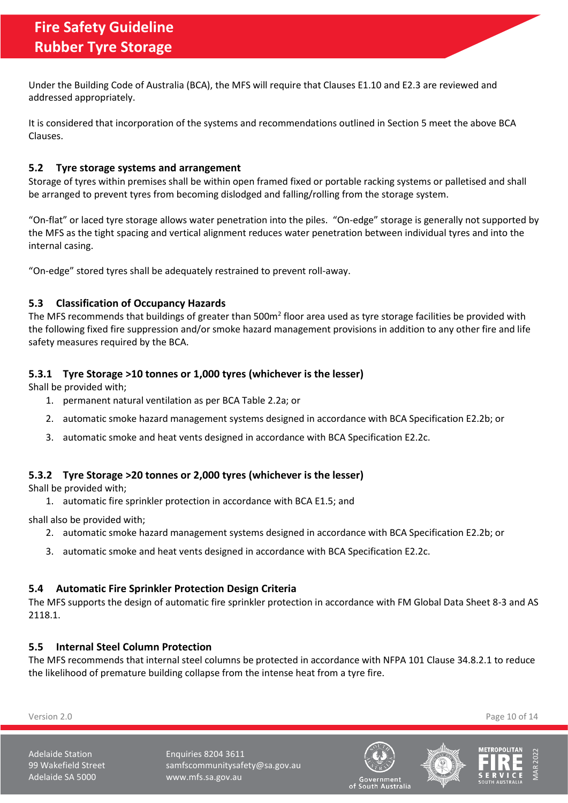Under the Building Code of Australia (BCA), the MFS will require that Clauses E1.10 and E2.3 are reviewed and addressed appropriately.

It is considered that incorporation of the systems and recommendations outlined in Sectio[n 5](#page-8-5) meet the above BCA Clauses.

## <span id="page-9-0"></span>**5.2 Tyre storage systems and arrangement**

Storage of tyres within premises shall be within open framed fixed or portable racking systems or palletised and shall be arranged to prevent tyres from becoming dislodged and falling/rolling from the storage system.

"On-flat" or laced tyre storage allows water penetration into the piles. "On-edge" storage is generally not supported by the MFS as the tight spacing and vertical alignment reduces water penetration between individual tyres and into the internal casing.

"On-edge" stored tyres shall be adequately restrained to prevent roll-away.

## <span id="page-9-1"></span>**5.3 Classification of Occupancy Hazards**

The MFS recommends that buildings of greater than 500m<sup>2</sup> floor area used as tyre storage facilities be provided with the following fixed fire suppression and/or smoke hazard management provisions in addition to any other fire and life safety measures required by the BCA.

## <span id="page-9-2"></span>**5.3.1 Tyre Storage >10 tonnes or 1,000 tyres (whichever is the lesser)**

Shall be provided with;

- 1. permanent natural ventilation as per BCA Table 2.2a; or
- 2. automatic smoke hazard management systems designed in accordance with BCA Specification E2.2b; or
- 3. automatic smoke and heat vents designed in accordance with BCA Specification E2.2c.

## <span id="page-9-3"></span>**5.3.2 Tyre Storage >20 tonnes or 2,000 tyres (whichever is the lesser)**

Shall be provided with;

1. automatic fire sprinkler protection in accordance with BCA E1.5; and

shall also be provided with;

- 2. automatic smoke hazard management systems designed in accordance with BCA Specification E2.2b; or
- 3. automatic smoke and heat vents designed in accordance with BCA Specification E2.2c.

#### <span id="page-9-4"></span>**5.4 Automatic Fire Sprinkler Protection Design Criteria**

The MFS supports the design of automatic fire sprinkler protection in accordance with FM Global Data Sheet 8-3 and AS 2118.1.

## <span id="page-9-5"></span>**5.5 Internal Steel Column Protection**

The MFS recommends that internal steel columns be protected in accordance with NFPA 101 Clause 34.8.2.1 to reduce the likelihood of premature building collapse from the intense heat from a tyre fire.

Version 2.0 Page 10 of 14

Adelaide Station **Enquiries 8204 3611** 99 Wakefield Street samfscommunitysafety@sa.gov.au Adelaide SA 5000 www.mfs.sa.gov.au





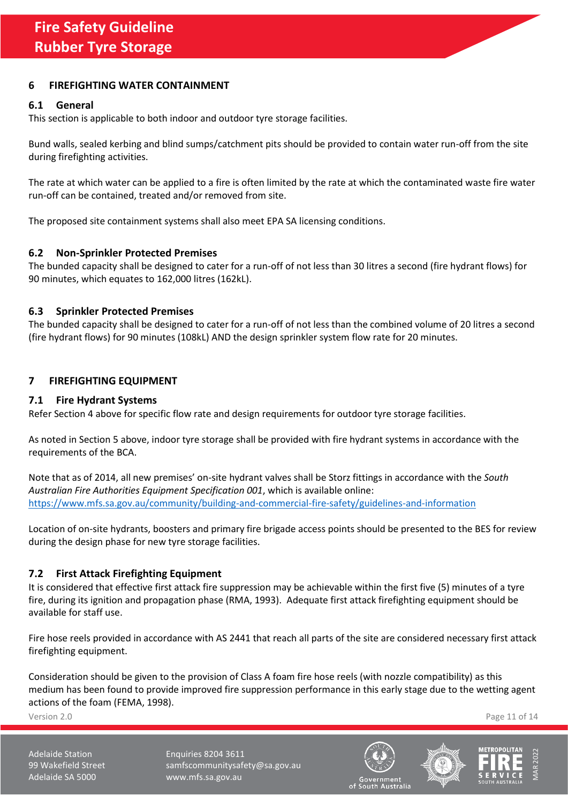## <span id="page-10-0"></span>**6 FIREFIGHTING WATER CONTAINMENT**

#### <span id="page-10-1"></span>**6.1 General**

This section is applicable to both indoor and outdoor tyre storage facilities.

Bund walls, sealed kerbing and blind sumps/catchment pits should be provided to contain water run-off from the site during firefighting activities.

The rate at which water can be applied to a fire is often limited by the rate at which the contaminated waste fire water run-off can be contained, treated and/or removed from site.

The proposed site containment systems shall also meet EPA SA licensing conditions.

#### <span id="page-10-2"></span>**6.2 Non-Sprinkler Protected Premises**

The bunded capacity shall be designed to cater for a run-off of not less than 30 litres a second (fire hydrant flows) for 90 minutes, which equates to 162,000 litres (162kL).

#### <span id="page-10-3"></span>**6.3 Sprinkler Protected Premises**

The bunded capacity shall be designed to cater for a run-off of not less than the combined volume of 20 litres a second (fire hydrant flows) for 90 minutes (108kL) AND the design sprinkler system flow rate for 20 minutes.

## <span id="page-10-4"></span>**7 FIREFIGHTING EQUIPMENT**

#### <span id="page-10-5"></span>**7.1 Fire Hydrant Systems**

Refer Section [4](#page-8-2) above for specific flow rate and design requirements for outdoor tyre storage facilities.

As noted in Sectio[n 5](#page-8-5) above, indoor tyre storage shall be provided with fire hydrant systems in accordance with the requirements of the BCA.

Note that as of 2014, all new premises' on-site hydrant valves shall be Storz fittings in accordance with the *South Australian Fire Authorities Equipment Specification 001*, which is available online: <https://www.mfs.sa.gov.au/community/building-and-commercial-fire-safety/guidelines-and-information>

Location of on-site hydrants, boosters and primary fire brigade access points should be presented to the BES for review during the design phase for new tyre storage facilities.

## <span id="page-10-6"></span>**7.2 First Attack Firefighting Equipment**

It is considered that effective first attack fire suppression may be achievable within the first five (5) minutes of a tyre fire, during its ignition and propagation phase (RMA, 1993). Adequate first attack firefighting equipment should be available for staff use.

Fire hose reels provided in accordance with AS 2441 that reach all parts of the site are considered necessary first attack firefighting equipment.

Consideration should be given to the provision of Class A foam fire hose reels (with nozzle compatibility) as this medium has been found to provide improved fire suppression performance in this early stage due to the wetting agent actions of the foam (FEMA, 1998).

Version 2.0 Page 11 of 14

Adelaide Station **Enquiries 8204 3611** 99 Wakefield Street samfscommunitysafety@sa.gov.au Adelaide SA 5000 www.mfs.sa.gov.au





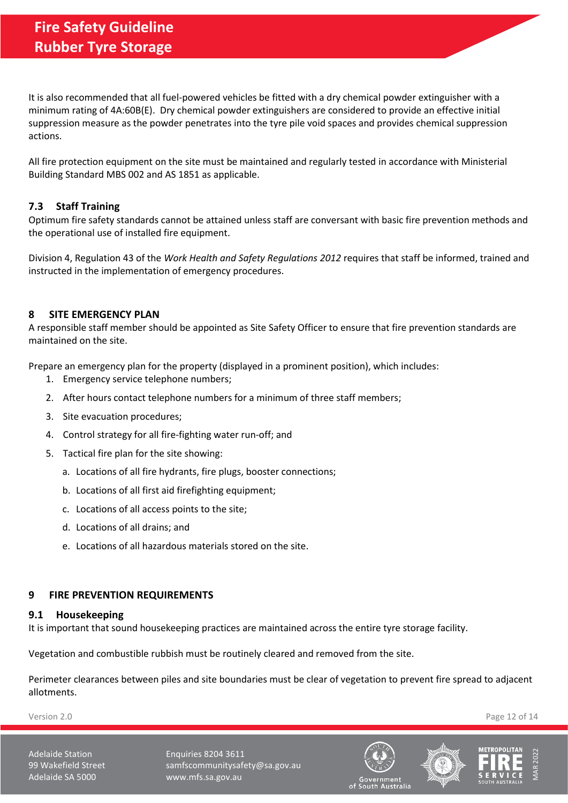It is also recommended that all fuel-powered vehicles be fitted with a dry chemical powder extinguisher with a minimum rating of 4A:60B(E). Dry chemical powder extinguishers are considered to provide an effective initial suppression measure as the powder penetrates into the tyre pile void spaces and provides chemical suppression actions.

All fire protection equipment on the site must be maintained and regularly tested in accordance with Ministerial Building Standard MBS 002 and AS 1851 as applicable.

## <span id="page-11-0"></span>**7.3 Staff Training**

Optimum fire safety standards cannot be attained unless staff are conversant with basic fire prevention methods and the operational use of installed fire equipment.

Division 4, Regulation 43 of the *Work Health and Safety Regulations 2012* requires that staff be informed, trained and instructed in the implementation of emergency procedures.

## <span id="page-11-1"></span>**8 SITE EMERGENCY PLAN**

A responsible staff member should be appointed as Site Safety Officer to ensure that fire prevention standards are maintained on the site.

Prepare an emergency plan for the property (displayed in a prominent position), which includes:

- 1. Emergency service telephone numbers;
- 2. After hours contact telephone numbers for a minimum of three staff members;
- 3. Site evacuation procedures;
- 4. Control strategy for all fire-fighting water run-off; and
- 5. Tactical fire plan for the site showing:
	- a. Locations of all fire hydrants, fire plugs, booster connections;
	- b. Locations of all first aid firefighting equipment;
	- c. Locations of all access points to the site;
	- d. Locations of all drains; and
	- e. Locations of all hazardous materials stored on the site.

## <span id="page-11-2"></span>**9 FIRE PREVENTION REQUIREMENTS**

#### <span id="page-11-3"></span>**9.1 Housekeeping**

It is important that sound housekeeping practices are maintained across the entire tyre storage facility.

Vegetation and combustible rubbish must be routinely cleared and removed from the site.

Perimeter clearances between piles and site boundaries must be clear of vegetation to prevent fire spread to adjacent allotments.

Version 2.0 Page 12 of 14

Adelaide Station **Enquiries 8204 3611** 99 Wakefield Street samfscommunitysafety@sa.gov.au Adelaide SA 5000 www.mfs.sa.gov.au





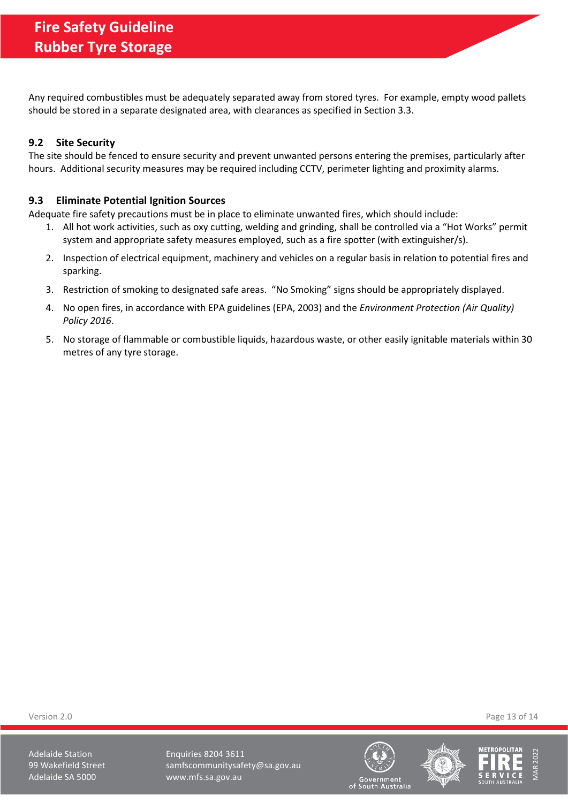Any required combustibles must be adequately separated away from stored tyres. For example, empty wood pallets should be stored in a separate designated area, with clearances as specified in Section [3.3.](#page-7-4)

## <span id="page-12-0"></span>**9.2 Site Security**

The site should be fenced to ensure security and prevent unwanted persons entering the premises, particularly after hours. Additional security measures may be required including CCTV, perimeter lighting and proximity alarms.

## <span id="page-12-1"></span>**9.3 Eliminate Potential Ignition Sources**

Adequate fire safety precautions must be in place to eliminate unwanted fires, which should include:

- 1. All hot work activities, such as oxy cutting, welding and grinding, shall be controlled via a "Hot Works" permit system and appropriate safety measures employed, such as a fire spotter (with extinguisher/s).
- 2. Inspection of electrical equipment, machinery and vehicles on a regular basis in relation to potential fires and sparking.
- 3. Restriction of smoking to designated safe areas. "No Smoking" signs should be appropriately displayed.
- 4. No open fires, in accordance with EPA guidelines (EPA, 2003) and the *Environment Protection (Air Quality) Policy 2016*.
- 5. No storage of flammable or combustible liquids, hazardous waste, or other easily ignitable materials within 30 metres of any tyre storage.

Version 2.0 Page 13 of 14

Adelaide Station **Enquiries 8204 3611** 99 Wakefield Street samfscommunitysafety@sa.gov.au Adelaide SA 5000 www.mfs.sa.gov.au